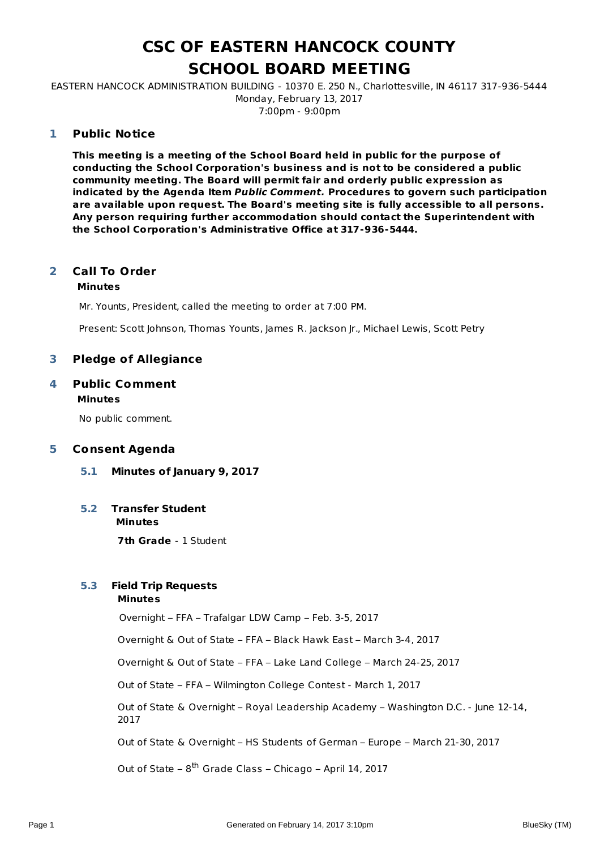#### **CSC OF EASTERN HANCOCK COUNTY SCHOOL BOARD MEETING**

EASTERN HANCOCK ADMINISTRATION BUILDING - 10370 E. 250 N., Charlottesville, IN 46117 317-936-5444 Monday, February 13, 2017 7:00pm - 9:00pm

#### **Public Notice 1**

**This meeting is a meeting of the School Board held in public for the purpose of conducting the School Corporation's business and is not to be considered a public community meeting. The Board will permit fair and orderly public expression as indicated by the Agenda Item Public Comment. Procedures to govern such participation are available upon request. The Board's meeting site is fully accessible to all persons. Any person requiring further accommodation should contact the Superintendent with the School Corporation's Administrative Office at 317-936-5444.**

#### **Call To Order 2**

#### **Minutes**

Mr. Younts, President, called the meeting to order at 7:00 PM.

Present: Scott Johnson, Thomas Younts, James R. Jackson Jr., Michael Lewis, Scott Petry

#### **3 Pledge of Allegiance**

#### **Public Comment Minutes 4**

No public comment.

#### **5 Consent Agenda**

**5.1 Minutes of January 9, 2017**

#### **Minutes 5.2 Transfer Student**

**7th Grade** - 1 Student

#### **5.3 Field Trip Requests**

#### **Minutes**

Overnight – FFA – Trafalgar LDW Camp – Feb. 3-5, 2017

Overnight & Out of State – FFA – Black Hawk East – March 3-4, 2017

Overnight & Out of State – FFA – Lake Land College – March 24-25, 2017

Out of State – FFA – Wilmington College Contest - March 1, 2017

Out of State & Overnight – Royal Leadership Academy – Washington D.C. - June 12-14, 2017

Out of State & Overnight – HS Students of German – Europe – March 21-30, 2017

Out of State – 8<sup>th</sup> Grade Class – Chicago – April 14, 2017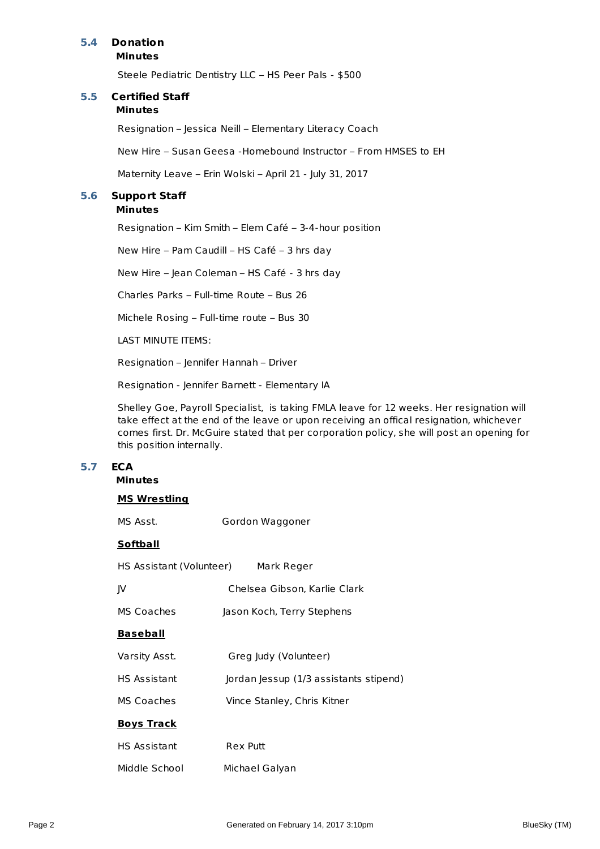#### **5.4 Donation**

**Minutes**

Steele Pediatric Dentistry LLC – HS Peer Pals - \$500

#### **Minutes 5.5 Certified Staff**

Resignation – Jessica Neill – Elementary Literacy Coach

New Hire – Susan Geesa -Homebound Instructor – From HMSES to EH

Maternity Leave – Erin Wolski – April 21 - July 31, 2017

#### **5.6 Support Staff**

#### **Minutes**

Resignation – Kim Smith – Elem Café – 3-4-hour position

New Hire – Pam Caudill – HS Café – 3 hrs day

New Hire – Jean Coleman – HS Café - 3 hrs day

Charles Parks – Full-time Route – Bus 26

Michele Rosing – Full-time route – Bus 30

LAST MINUTE ITEMS:

Resignation – Jennifer Hannah – Driver

Resignation - Jennifer Barnett - Elementary IA

Shelley Goe, Payroll Specialist, is taking FMLA leave for 12 weeks. Her resignation will take effect at the end of the leave or upon receiving an offical resignation, whichever comes first. Dr. McGuire stated that per corporation policy, she will post an opening for this position internally.

#### **5.7 ECA**

#### **Minutes**

| <u>MS Wrestling</u>      |                                        |
|--------------------------|----------------------------------------|
| MS Asst.                 | Gordon Waggoner                        |
| <u>Softball</u>          |                                        |
| HS Assistant (Volunteer) | Mark Reger                             |
| JV.                      | Chelsea Gibson, Karlie Clark           |
| MS Coaches               | Jason Koch, Terry Stephens             |
| <u>Baseball</u>          |                                        |
| Varsity Asst.            | Greg Judy (Volunteer)                  |
| HS Assistant             | Jordan Jessup (1/3 assistants stipend) |
| MS Coaches               | Vince Stanley, Chris Kitner            |
| <b>Boys Track</b>        |                                        |
| HS Assistant             | <b>Rex Putt</b>                        |
| Middle School            | Michael Galyan                         |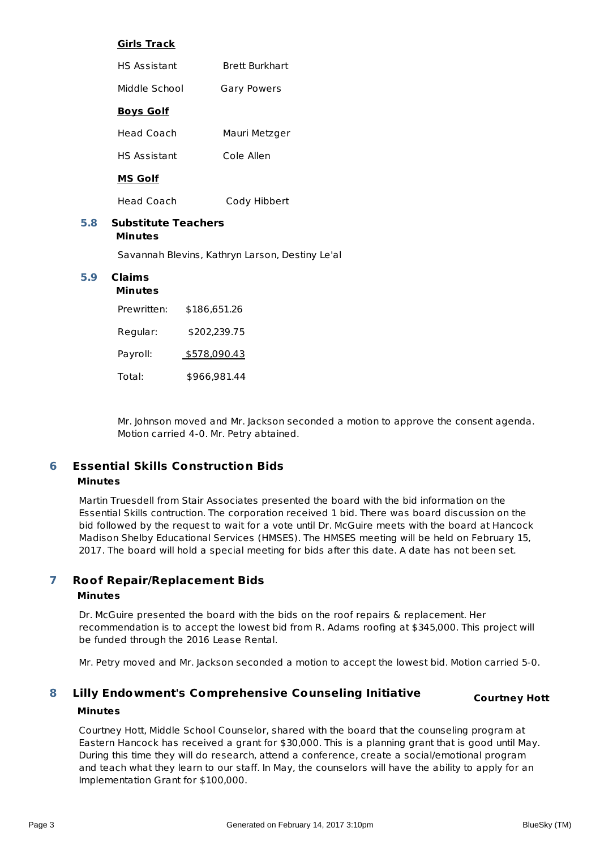#### **Girls Track**

| <b>HS Assistant</b> | <b>Brett Burkhart</b> |
|---------------------|-----------------------|
| Middle School       | <b>Gary Powers</b>    |
| <b>Boys Golf</b>    |                       |
| Head Coach          | Mauri Metzger         |
| <b>HS Assistant</b> | Cole Allen            |
| MS Golf             |                       |

Head Coach Cody Hibbert

#### **Minutes 5.8 Substitute Teachers**

Savannah Blevins, Kathryn Larson, Destiny Le'al

#### **Minutes 5.9 Claims**

#### Prewritten: \$186,651.26 Regular: \$202,239.75 Payroll: \$578,090.43 Total: \$966,981.44

Mr. Johnson moved and Mr. Jackson seconded a motion to approve the consent agenda. Motion carried 4-0. Mr. Petry abtained.

#### **Essential Skills Construction Bids Minutes 6**

Martin Truesdell from Stair Associates presented the board with the bid information on the Essential Skills contruction. The corporation received 1 bid. There was board discussion on the bid followed by the request to wait for a vote until Dr. McGuire meets with the board at Hancock Madison Shelby Educational Services (HMSES). The HMSES meeting will be held on February 15, 2017. The board will hold a special meeting for bids after this date. A date has not been set.

#### **Roof Repair/Replacement Bids 7**

#### **Minutes**

Dr. McGuire presented the board with the bids on the roof repairs & replacement. Her recommendation is to accept the lowest bid from R. Adams roofing at \$345,000. This project will be funded through the 2016 Lease Rental.

Mr. Petry moved and Mr. Jackson seconded a motion to accept the lowest bid. Motion carried 5-0.

#### **Lilly Endowment's Comprehensive Counseling Initiative Minutes 8**

Courtney Hott, Middle School Counselor, shared with the board that the counseling program at Eastern Hancock has received a grant for \$30,000. This is a planning grant that is good until May. During this time they will do research, attend a conference, create a social/emotional program and teach what they learn to our staff. In May, the counselors will have the ability to apply for an Implementation Grant for \$100,000.

**Courtney Hott**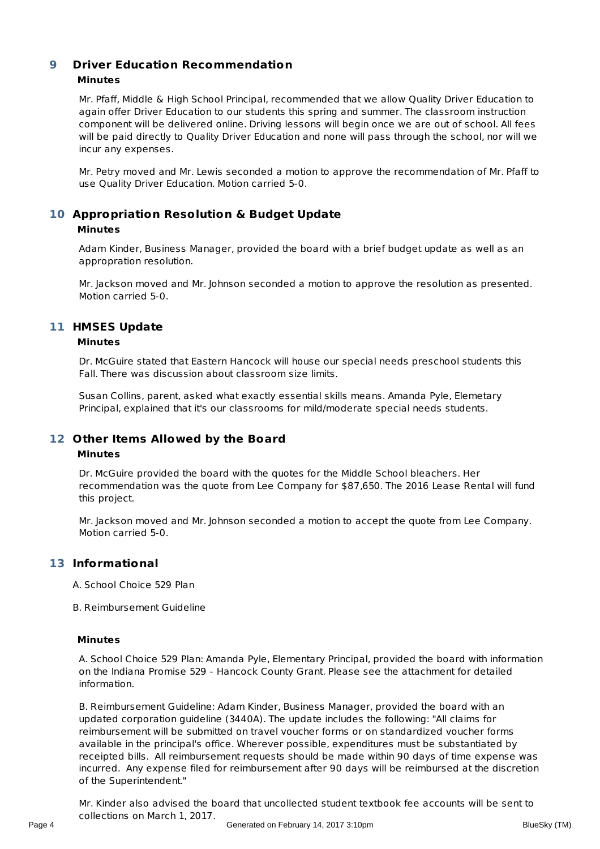#### **Driver Education Recommendation Minutes 9**

Mr. Pfaff, Middle & High School Principal, recommended that we allow Quality Driver Education to again offer Driver Education to our students this spring and summer. The classroom instruction component will be delivered online. Driving lessons will begin once we are out of school. All fees will be paid directly to Quality Driver Education and none will pass through the school, nor will we incur any expenses.

Mr. Petry moved and Mr. Lewis seconded a motion to approve the recommendation of Mr. Pfaff to use Quality Driver Education. Motion carried 5-0.

#### **Appropriation Resolution & Budget Update 10 Minutes**

Adam Kinder, Business Manager, provided the board with a brief budget update as well as an appropration resolution.

Mr. Jackson moved and Mr. Johnson seconded a motion to approve the resolution as presented. Motion carried 5-0.

#### **HMSES Update 11**

#### **Minutes**

Dr. McGuire stated that Eastern Hancock will house our special needs preschool students this Fall. There was discussion about classroom size limits.

Susan Collins, parent, asked what exactly essential skills means. Amanda Pyle, Elemetary Principal, explained that it's our classrooms for mild/moderate special needs students.

#### **Other Items Allowed by the Board 12**

#### **Minutes**

Dr. McGuire provided the board with the quotes for the Middle School bleachers. Her recommendation was the quote from Lee Company for \$87,650. The 2016 Lease Rental will fund this project.

Mr. Jackson moved and Mr. Johnson seconded a motion to accept the quote from Lee Company. Motion carried 5-0.

#### **Informational 13**

A. School Choice 529 Plan

B. Reimbursement Guideline

#### **Minutes**

A. School Choice 529 Plan: Amanda Pyle, Elementary Principal, provided the board with information on the Indiana Promise 529 - Hancock County Grant. Please see the attachment for detailed information.

B. Reimbursement Guideline: Adam Kinder, Business Manager, provided the board with an updated corporation guideline (3440A). The update includes the following: "All claims for reimbursement will be submitted on travel voucher forms or on standardized voucher forms available in the principal's office. Wherever possible, expenditures must be substantiated by receipted bills. All reimbursement requests should be made within 90 days of time expense was incurred. Any expense filed for reimbursement after 90 days will be reimbursed at the discretion of the Superintendent."

Mr. Kinder also advised the board that uncollected student textbook fee accounts will be sent to collections on March 1, 2017. Page 4 Generated on February 14, 2017 3:10pm BlueSky (TM)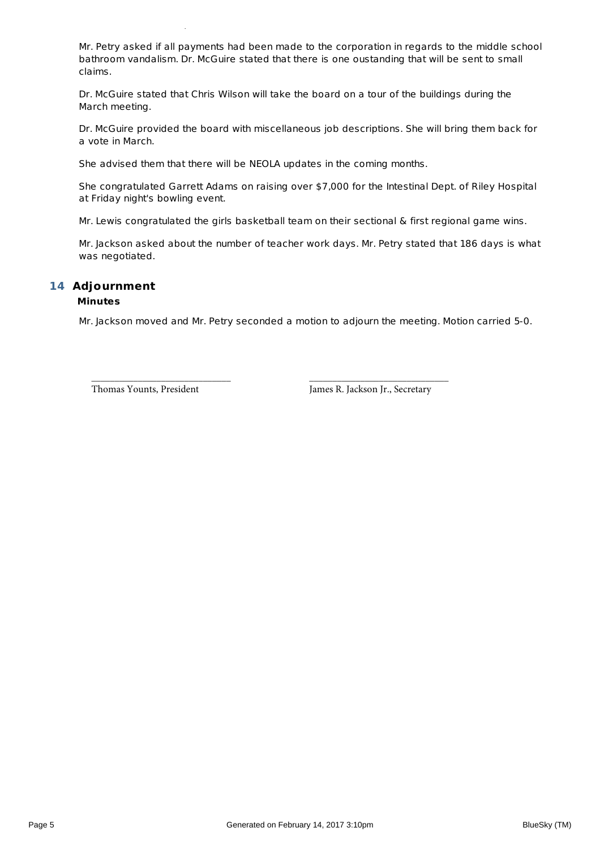collections on March 1, 2017.

Mr. Petry asked if all payments had been made to the corporation in regards to the middle school bathroom vandalism. Dr. McGuire stated that there is one oustanding that will be sent to small claims.

Dr. McGuire stated that Chris Wilson will take the board on a tour of the buildings during the March meeting.

Dr. McGuire provided the board with miscellaneous job descriptions. She will bring them back for a vote in March.

She advised them that there will be NEOLA updates in the coming months.

She congratulated Garrett Adams on raising over \$7,000 for the Intestinal Dept. of Riley Hospital at Friday night's bowling event.

Mr. Lewis congratulated the girls basketball team on their sectional & first regional game wins.

Mr. Jackson asked about the number of teacher work days. Mr. Petry stated that 186 days is what was negotiated.

#### **Adjournment 14**

#### **Minutes**

Mr. Jackson moved and Mr. Petry seconded a motion to adjourn the meeting. Motion carried 5-0.

\_\_\_\_\_\_\_\_\_\_\_\_\_\_\_\_\_\_\_\_\_\_\_\_\_\_\_\_\_\_ \_\_\_\_\_\_\_\_\_\_\_\_\_\_\_\_\_\_\_\_\_\_\_\_\_\_\_\_\_\_

Thomas Younts, President James R. Jackson Jr., Secretary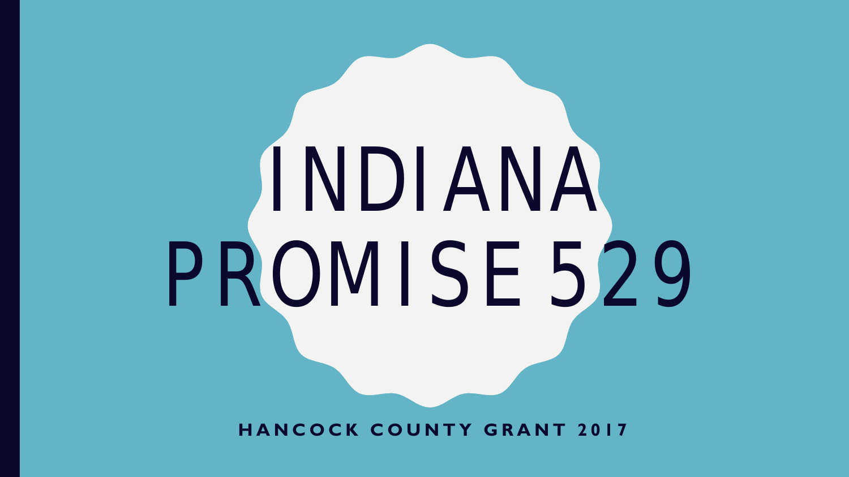# INDIANA PROMISE 529

**HANCOCK COUNTY GRANT 2017**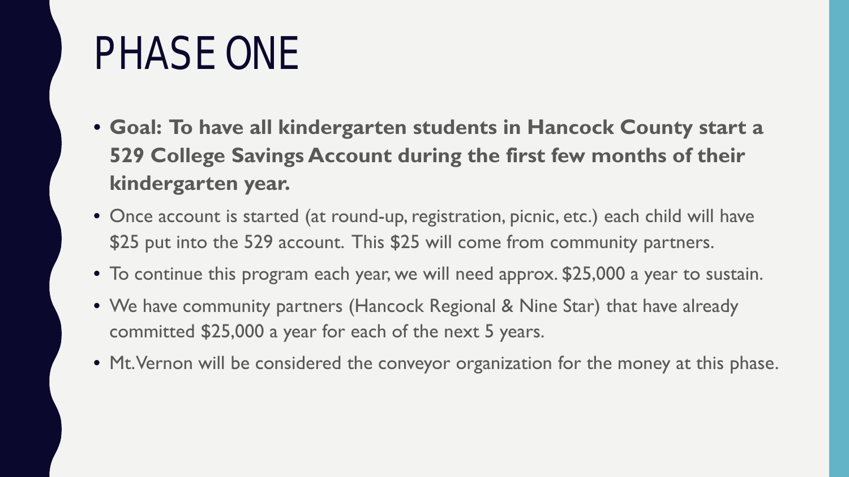## PHASE ONE

- **Goal: To have all kindergarten students in Hancock County start a 529 College Savings Account during the first few months of their kindergarten year.**
- Once account is started (at round-up, registration, picnic, etc.) each child will have \$25 put into the 529 account. This \$25 will come from community partners.
- To continue this program each year, we will need approx. \$25,000 a year to sustain.
- We have community partners (Hancock Regional & Nine Star) that have already committed \$25,000 a year for each of the next 5 years.
- Mt. Vernon will be considered the conveyor organization for the money at this phase.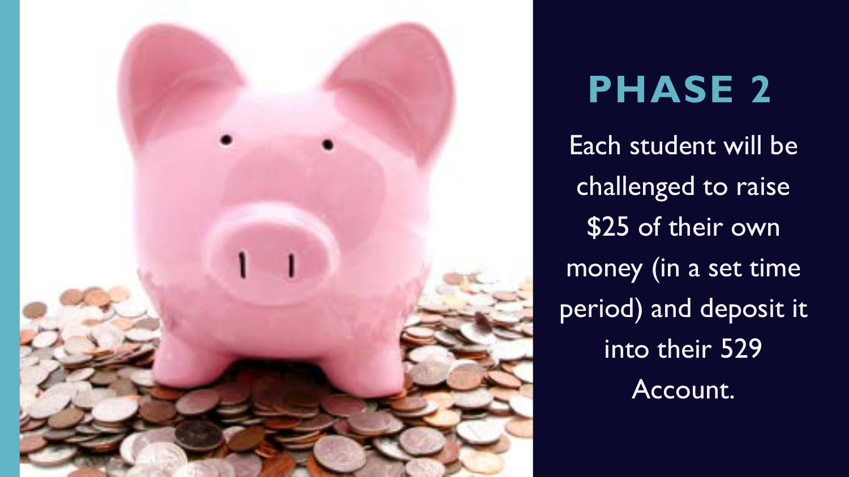

### **PHASE 2**

Each student will be challenged to raise \$25 of their own money (in a set time period) and deposit it into their 529 Account.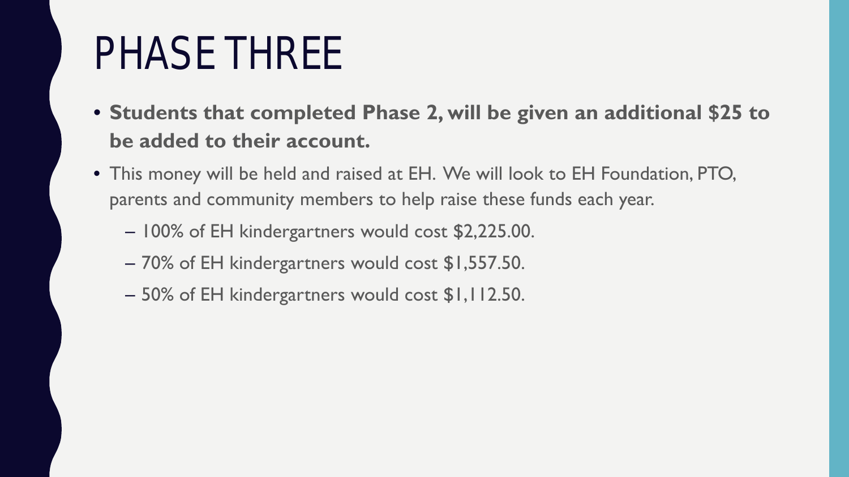# PHASE THREE

- **Students that completed Phase 2, will be given an additional \$25 to be added to their account.**
- This money will be held and raised at EH. We will look to EH Foundation, PTO, parents and community members to help raise these funds each year.
	- 100% of EH kindergartners would cost \$2,225.00.
	- 70% of EH kindergartners would cost \$1,557.50.
	- 50% of EH kindergartners would cost \$1,112.50.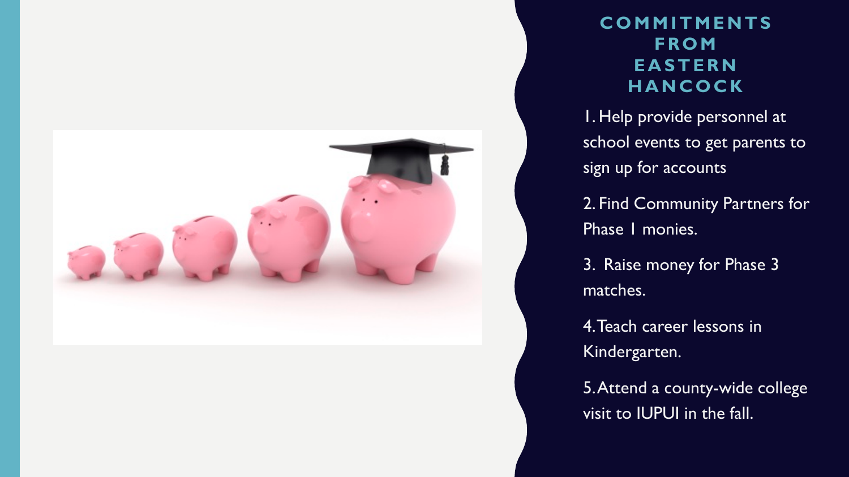

#### **COMMITMENTS FROM EASTERN HANCOCK**

I. Help provide personnel at school events to get parents to sign up for accounts

2. Find Community Partners for Phase 1 monies.

3. Raise money for Phase 3 matches.

4. 4. Teach career lessons in Kindergarten.

5. 5. Attend a county-wide college visit to IUPUI in the fall.